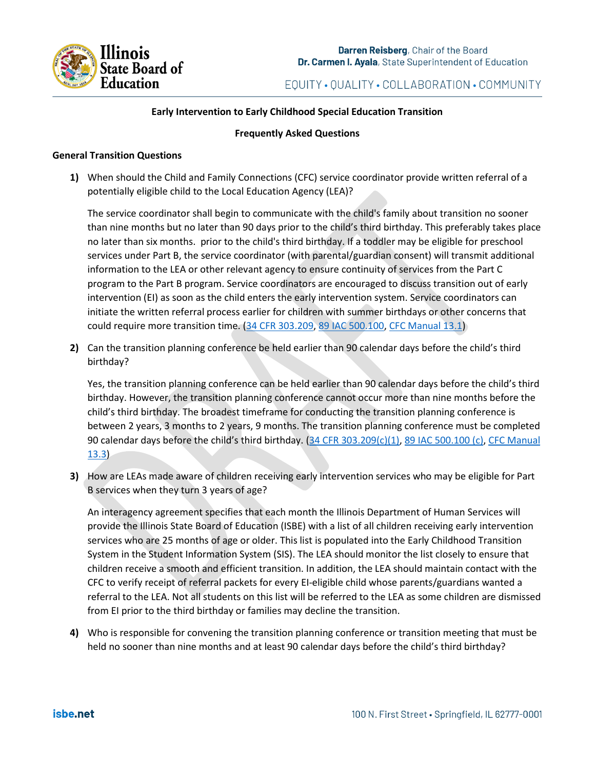

# EQUITY · QUALITY · COLLABORATION · COMMUNITY

#### **Early Intervention to Early Childhood Special Education Transition**

#### **Frequently Asked Questions**

#### **General Transition Questions**

**1)** When should the Child and Family Connections (CFC) service coordinator provide written referral of a potentially eligible child to the Local Education Agency (LEA)?

The service coordinator shall begin to communicate with the child's family about transition no sooner than nine months but no later than 90 days prior to the child's third birthday. This preferably takes place no later than six months. prior to the child's third birthday. If a toddler may be eligible for preschool services under Part B, the service coordinator (with parental/guardian consent) will transmit additional information to the LEA or other relevant agency to ensure continuity of services from the Part C program to the Part B program. Service coordinators are encouraged to discuss transition out of early intervention (EI) as soon as the child enters the early intervention system. Service coordinators can initiate the written referral process earlier for children with summer birthdays or other concerns that could require more transition time. [\(34 CFR 303.209,](https://teams.microsoft.com/l/meetup-join/19%3ameeting_YTc3ZDU2ODktMWQ5OS00YzI4LWE5NjctNjc1YzYxYzYzMTgz%40thread.v2/0?context=%7b%22Tid%22%3a%22bd5d4514-84de-4928-a9fd-6ae10bbad677%22%2c%22Oid%22%3a%226b4a0093-f93b-4d4b-946b-c2c5fd136866%22%7d) 89 [IAC 500.100,](http://www.ilga.gov/commission/jcar/admincode/089/08900500sections.html) [CFC Manual 13.1\)](https://www.isbe.net/Documents/226ark.pdf)

**2)** Can the transition planning conference be held earlier than 90 calendar days before the child's third birthday?

Yes, the transition planning conference can be held earlier than 90 calendar days before the child's third birthday. However, the transition planning conference cannot occur more than nine months before the child's third birthday. The broadest timeframe for conducting the transition planning conference is between 2 years, 3 months to 2 years, 9 months. The transition planning conference must be completed 90 calendar days before the child's third birthday. [\(34 CFR 303.209\(c\)\(1\),](https://teams.microsoft.com/l/meetup-join/19%3ameeting_YTc3ZDU2ODktMWQ5OS00YzI4LWE5NjctNjc1YzYxYzYzMTgz%40thread.v2/0?context=%7b%22Tid%22%3a%22bd5d4514-84de-4928-a9fd-6ae10bbad677%22%2c%22Oid%22%3a%226b4a0093-f93b-4d4b-946b-c2c5fd136866%22%7d) [89 IAC 500.100 \(c\),](http://www.ilga.gov/commission/jcar/admincode/089/08900500sections.html) [CFC Manual](https://www.isbe.net/Documents/226ark.pdf)  [13.3\)](https://www.isbe.net/Documents/226ark.pdf)

**3)** How are LEAs made aware of children receiving early intervention services who may be eligible for Part B services when they turn 3 years of age?

An interagency agreement specifies that each month the Illinois Department of Human Services will provide the Illinois State Board of Education (ISBE) with a list of all children receiving early intervention services who are 25 months of age or older. This list is populated into the Early Childhood Transition System in the Student Information System (SIS). The LEA should monitor the list closely to ensure that children receive a smooth and efficient transition. In addition, the LEA should maintain contact with the CFC to verify receipt of referral packets for every EI-eligible child whose parents/guardians wanted a referral to the LEA. Not all students on this list will be referred to the LEA as some children are dismissed from EI prior to the third birthday or families may decline the transition.

**4)** Who is responsible for convening the transition planning conference or transition meeting that must be held no sooner than nine months and at least 90 calendar days before the child's third birthday?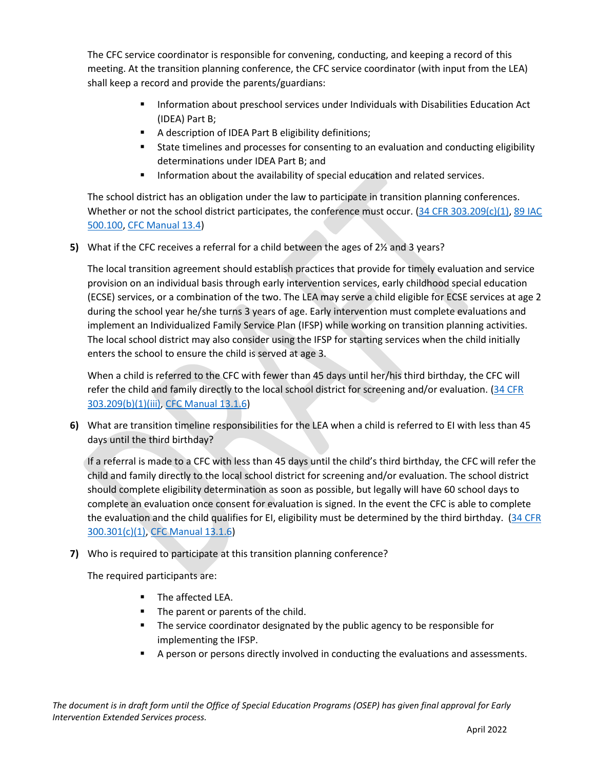The CFC service coordinator is responsible for convening, conducting, and keeping a record of this meeting. At the transition planning conference, the CFC service coordinator (with input from the LEA) shall keep a record and provide the parents/guardians:

- Information about preschool services under Individuals with Disabilities Education Act (IDEA) Part B;
- A description of IDEA Part B eligibility definitions;
- State timelines and processes for consenting to an evaluation and conducting eligibility determinations under IDEA Part B; and
- Information about the availability of special education and related services.

The school district has an obligation under the law to participate in transition planning conferences. Whether or not the school district participates, the conference must occur.  $(34$  CFR  $303.209(c)(1)$ , 89 IAC [500.100,](http://www.ilga.gov/commission/jcar/admincode/089/08900500sections.html) [CFC Manual 13.4\)](https://www.isbe.net/Documents/226ark.pdf)

**5)** What if the CFC receives a referral for a child between the ages of 2½ and 3 years?

The local transition agreement should establish practices that provide for timely evaluation and service provision on an individual basis through early intervention services, early childhood special education (ECSE) services, or a combination of the two. The LEA may serve a child eligible for ECSE services at age 2 during the school year he/she turns 3 years of age. Early intervention must complete evaluations and implement an Individualized Family Service Plan (IFSP) while working on transition planning activities. The local school district may also consider using the IFSP for starting services when the child initially enters the school to ensure the child is served at age 3.

When a child is referred to the CFC with fewer than 45 days until her/his third birthday, the CFC will refer the child and family directly to the local school district for screening and/or evaluation. (34 CFR [303.209\(b\)\(1\)\(iii\),](https://teams.microsoft.com/l/meetup-join/19%3ameeting_YTc3ZDU2ODktMWQ5OS00YzI4LWE5NjctNjc1YzYxYzYzMTgz%40thread.v2/0?context=%7b%22Tid%22%3a%22bd5d4514-84de-4928-a9fd-6ae10bbad677%22%2c%22Oid%22%3a%226b4a0093-f93b-4d4b-946b-c2c5fd136866%22%7d) [CFC Manual 13.1.6\)](https://www.isbe.net/Documents/226ark.pdf)

**6)** What are transition timeline responsibilities for the LEA when a child is referred to EI with less than 45 days until the third birthday?

If a referral is made to a CFC with less than 45 days until the child's third birthday, the CFC will refer the child and family directly to the local school district for screening and/or evaluation. The school district should complete eligibility determination as soon as possible, but legally will have 60 school days to complete an evaluation once consent for evaluation is signed. In the event the CFC is able to complete the evaluation and the child qualifies for EI, eligibility must be determined by the third birthday. (34 CFR [300.301\(c\)\(1\),](http://www.ecfr.gov/cgi-bin/text-idx?tpl=/ecfrbrowse/Title34/34cfr300_main_02.tpl) [CFC Manual 13.1.6\)](https://www.isbe.net/Documents/226ark.pdf)

**7)** Who is required to participate at this transition planning conference?

The required participants are:

- The affected LEA.
- The parent or parents of the child.
- The service coordinator designated by the public agency to be responsible for implementing the IFSP.
- A person or persons directly involved in conducting the evaluations and assessments.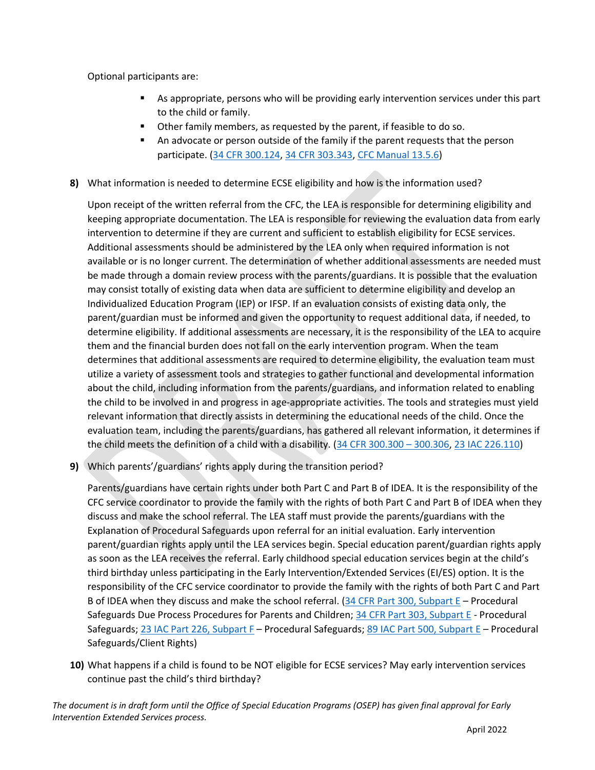Optional participants are:

- As appropriate, persons who will be providing early intervention services under this part to the child or family.
- Other family members, as requested by the parent, if feasible to do so.
- An advocate or person outside of the family if the parent requests that the person participate. [\(34 CFR 300.124,](http://www.ecfr.gov/cgi-bin/text-idx?tpl=/ecfrbrowse/Title34/34cfr300_main_02.tpl) [34 CFR 303.343,](https://teams.microsoft.com/l/meetup-join/19%3ameeting_YTc3ZDU2ODktMWQ5OS00YzI4LWE5NjctNjc1YzYxYzYzMTgz%40thread.v2/0?context=%7b%22Tid%22%3a%22bd5d4514-84de-4928-a9fd-6ae10bbad677%22%2c%22Oid%22%3a%226b4a0093-f93b-4d4b-946b-c2c5fd136866%22%7d) [CFC Manual 13.5.6\)](https://www.isbe.net/Documents/226ark.pdf)
- **8)** What information is needed to determine ECSE eligibility and how is the information used?

Upon receipt of the written referral from the CFC, the LEA is responsible for determining eligibility and keeping appropriate documentation. The LEA is responsible for reviewing the evaluation data from early intervention to determine if they are current and sufficient to establish eligibility for ECSE services. Additional assessments should be administered by the LEA only when required information is not available or is no longer current. The determination of whether additional assessments are needed must be made through a domain review process with the parents/guardians. It is possible that the evaluation may consist totally of existing data when data are sufficient to determine eligibility and develop an Individualized Education Program (IEP) or IFSP. If an evaluation consists of existing data only, the parent/guardian must be informed and given the opportunity to request additional data, if needed, to determine eligibility. If additional assessments are necessary, it is the responsibility of the LEA to acquire them and the financial burden does not fall on the early intervention program. When the team determines that additional assessments are required to determine eligibility, the evaluation team must utilize a variety of assessment tools and strategies to gather functional and developmental information about the child, including information from the parents/guardians, and information related to enabling the child to be involved in and progress in age-appropriate activities. The tools and strategies must yield relevant information that directly assists in determining the educational needs of the child. Once the evaluation team, including the parents/guardians, has gathered all relevant information, it determines if the child meets the definition of a child with a disability. [\(34 CFR 300.300](http://www.ecfr.gov/cgi-bin/text-idx?tpl=/ecfrbrowse/Title34/34cfr300_main_02.tpl) – 300.306, [23 IAC 226.110\)](https://www.isbe.net/Documents/226ark.pdf)

**9)** Which parents'/guardians' rights apply during the transition period?

Parents/guardians have certain rights under both Part C and Part B of IDEA. It is the responsibility of the CFC service coordinator to provide the family with the rights of both Part C and Part B of IDEA when they discuss and make the school referral. The LEA staff must provide the parents/guardians with the Explanation of Procedural Safeguards upon referral for an initial evaluation. Early intervention parent/guardian rights apply until the LEA services begin. Special education parent/guardian rights apply as soon as the LEA receives the referral. Early childhood special education services begin at the child's third birthday unless participating in the Early Intervention/Extended Services (EI/ES) option. It is the responsibility of the CFC service coordinator to provide the family with the rights of both Part C and Part B of IDEA when they discuss and make the school referral. [\(34 CFR Part 300, Subpart E](http://www.ecfr.gov/cgi-bin/text-idx?tpl=/ecfrbrowse/Title34/34cfr300_main_02.tpl) – Procedural Safeguards Due Process Procedures for Parents and Children; [34 CFR Part 303, Subpart E](https://teams.microsoft.com/l/meetup-join/19%3ameeting_YTc3ZDU2ODktMWQ5OS00YzI4LWE5NjctNjc1YzYxYzYzMTgz%40thread.v2/0?context=%7b%22Tid%22%3a%22bd5d4514-84de-4928-a9fd-6ae10bbad677%22%2c%22Oid%22%3a%226b4a0093-f93b-4d4b-946b-c2c5fd136866%22%7d) - Procedural Safeguards; [23 IAC Part 226, Subpart F](https://www.isbe.net/Documents/226ark.pdf) – Procedural Safeguards; [89 IAC Part 500, Subpart E](http://www.ilga.gov/commission/jcar/admincode/089/08900500sections.html) – Procedural Safeguards/Client Rights)

**10)** What happens if a child is found to be NOT eligible for ECSE services? May early intervention services continue past the child's third birthday?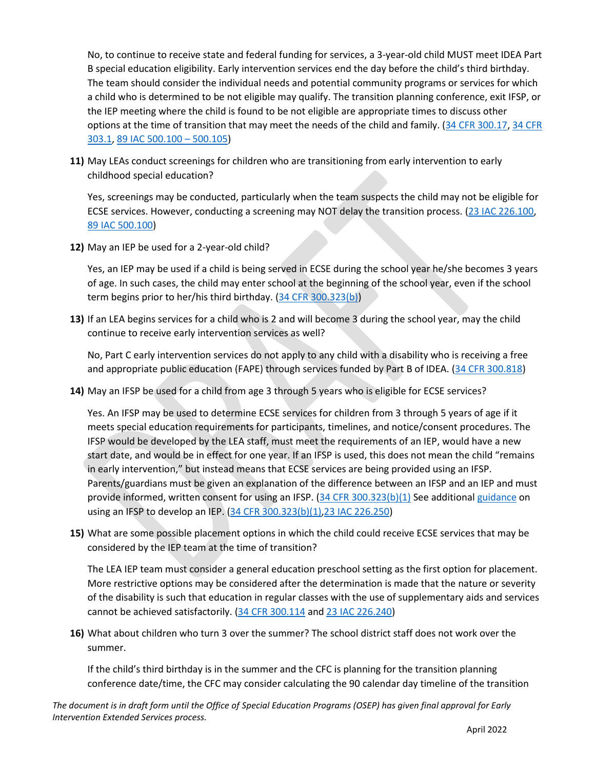No, to continue to receive state and federal funding for services, a 3-year-old child MUST meet IDEA Part B special education eligibility. Early intervention services end the day before the child's third birthday. The team should consider the individual needs and potential community programs or services for which a child who is determined to be not eligible may qualify. The transition planning conference, exit IFSP, or the IEP meeting where the child is found to be not eligible are appropriate times to discuss other options at the time of transition that may meet the needs of the child and family. [\(34 CFR 300.17,](http://www.ecfr.gov/cgi-bin/text-idx?tpl=/ecfrbrowse/Title34/34cfr300_main_02.tpl) [34 CFR](https://teams.microsoft.com/l/meetup-join/19%3ameeting_YTc3ZDU2ODktMWQ5OS00YzI4LWE5NjctNjc1YzYxYzYzMTgz%40thread.v2/0?context=%7b%22Tid%22%3a%22bd5d4514-84de-4928-a9fd-6ae10bbad677%22%2c%22Oid%22%3a%226b4a0093-f93b-4d4b-946b-c2c5fd136866%22%7d)  [303.1,](https://teams.microsoft.com/l/meetup-join/19%3ameeting_YTc3ZDU2ODktMWQ5OS00YzI4LWE5NjctNjc1YzYxYzYzMTgz%40thread.v2/0?context=%7b%22Tid%22%3a%22bd5d4514-84de-4928-a9fd-6ae10bbad677%22%2c%22Oid%22%3a%226b4a0093-f93b-4d4b-946b-c2c5fd136866%22%7d) [89 IAC 500.100](http://www.ilga.gov/commission/jcar/admincode/089/08900500sections.html) – 500.105)

**11)** May LEAs conduct screenings for children who are transitioning from early intervention to early childhood special education?

Yes, screenings may be conducted, particularly when the team suspects the child may not be eligible for ECSE services. However, conducting a screening may NOT delay the transition process. [\(23 IAC 226.100,](https://www.isbe.net/Documents/226ark.pdf) [89 IAC 500.100\)](http://www.ilga.gov/commission/jcar/admincode/089/08900500sections.html)

**12)** May an IEP be used for a 2-year-old child?

Yes, an IEP may be used if a child is being served in ECSE during the school year he/she becomes 3 years of age. In such cases, the child may enter school at the beginning of the school year, even if the school term begins prior to her/his third birthday. [\(34 CFR 300.323\(b\)\)](http://www.ecfr.gov/cgi-bin/text-idx?tpl=/ecfrbrowse/Title34/34cfr300_main_02.tpl)

**13)** If an LEA begins services for a child who is 2 and will become 3 during the school year, may the child continue to receive early intervention services as well?

No, Part C early intervention services do not apply to any child with a disability who is receiving a free and appropriate public education (FAPE) through services funded by Part B of IDEA. [\(34 CFR 300.818\)](http://www.ecfr.gov/cgi-bin/text-idx?tpl=/ecfrbrowse/Title34/34cfr300_main_02.tpl)

**14)** May an IFSP be used for a child from age 3 through 5 years who is eligible for ECSE services?

Yes. An IFSP may be used to determine ECSE services for children from 3 through 5 years of age if it meets special education requirements for participants, timelines, and notice/consent procedures. The IFSP would be developed by the LEA staff, must meet the requirements of an IEP, would have a new start date, and would be in effect for one year. If an IFSP is used, this does not mean the child "remains in early intervention," but instead means that ECSE services are being provided using an IFSP. Parents/guardians must be given an explanation of the difference between an IFSP and an IEP and must provide informed, written consent for using an IFSP. [\(34 CFR 300.323\(b\)\(1\)](http://www.ecfr.gov/cgi-bin/text-idx?tpl=/ecfrbrowse/Title34/34cfr300_main_02.tpl) See additional [guidance](https://www.isbe.net/Documents/guidance_10-2.pdf) on using an IFSP to develop an IEP. [\(34 CFR 300.323\(b\)\(1\)](http://www.ecfr.gov/cgi-bin/text-idx?tpl=/ecfrbrowse/Title34/34cfr300_main_02.tpl)[,23 IAC 226.250\)](https://www.isbe.net/Documents/226ark.pdf)

**15)** What are some possible placement options in which the child could receive ECSE services that may be considered by the IEP team at the time of transition?

The LEA IEP team must consider a general education preschool setting as the first option for placement. More restrictive options may be considered after the determination is made that the nature or severity of the disability is such that education in regular classes with the use of supplementary aids and services cannot be achieved satisfactorily. [\(34 CFR 300.114](http://www.ecfr.gov/cgi-bin/text-idx?tpl=/ecfrbrowse/Title34/34cfr300_main_02.tpl) and [23 IAC 226.240\)](https://www.isbe.net/Documents/226ark.pdf)

**16)** What about children who turn 3 over the summer? The school district staff does not work over the summer.

If the child's third birthday is in the summer and the CFC is planning for the transition planning conference date/time, the CFC may consider calculating the 90 calendar day timeline of the transition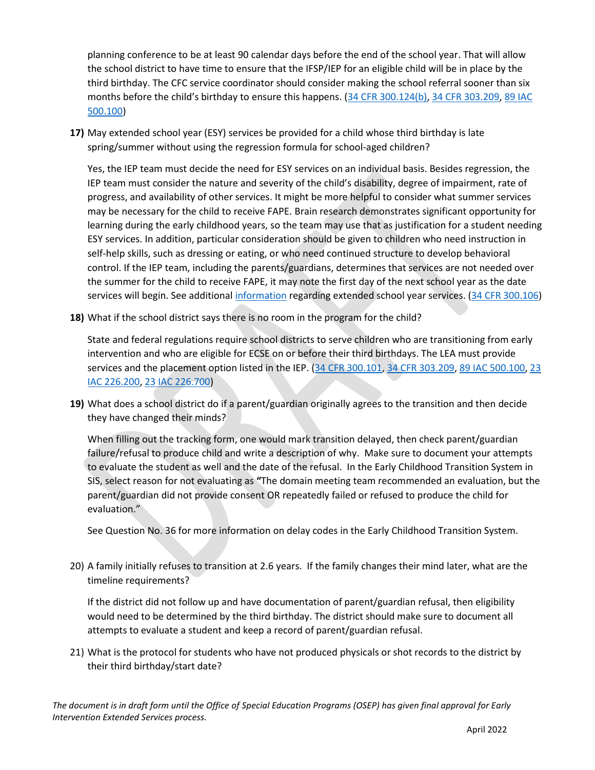planning conference to be at least 90 calendar days before the end of the school year. That will allow the school district to have time to ensure that the IFSP/IEP for an eligible child will be in place by the third birthday. The CFC service coordinator should consider making the school referral sooner than six months before the child's birthday to ensure this happens. [\(34 CFR 300.124\(b\),](http://www.ecfr.gov/cgi-bin/text-idx?tpl=/ecfrbrowse/Title34/34cfr300_main_02.tpl) [34 CFR 303.209,](https://teams.microsoft.com/l/meetup-join/19%3ameeting_YTc3ZDU2ODktMWQ5OS00YzI4LWE5NjctNjc1YzYxYzYzMTgz%40thread.v2/0?context=%7b%22Tid%22%3a%22bd5d4514-84de-4928-a9fd-6ae10bbad677%22%2c%22Oid%22%3a%226b4a0093-f93b-4d4b-946b-c2c5fd136866%22%7d) [89 IAC](http://www.ilga.gov/commission/jcar/admincode/089/08900500sections.html)  [500.100\)](http://www.ilga.gov/commission/jcar/admincode/089/08900500sections.html)

**17)** May extended school year (ESY) services be provided for a child whose third birthday is late spring/summer without using the regression formula for school-aged children?

Yes, the IEP team must decide the need for ESY services on an individual basis. Besides regression, the IEP team must consider the nature and severity of the child's disability, degree of impairment, rate of progress, and availability of other services. It might be more helpful to consider what summer services may be necessary for the child to receive FAPE. Brain research demonstrates significant opportunity for learning during the early childhood years, so the team may use that as justification for a student needing ESY services. In addition, particular consideration should be given to children who need instruction in self-help skills, such as dressing or eating, or who need continued structure to develop behavioral control. If the IEP team, including the parents/guardians, determines that services are not needed over the summer for the child to receive FAPE, it may note the first day of the next school year as the date services will begin. See additional [information](https://www.isbe.net/Documents/Ext-School-Year-FAQ.pdf#search=ESY) regarding extended school year services. [\(34 CFR 300.106\)](http://www.ecfr.gov/cgi-bin/text-idx?tpl=/ecfrbrowse/Title34/34cfr300_main_02.tpl)

**18)** What if the school district says there is no room in the program for the child?

State and federal regulations require school districts to serve children who are transitioning from early intervention and who are eligible for ECSE on or before their third birthdays. The LEA must provide services and the placement option listed in the IEP. (34 [CFR 300.101,](http://www.ecfr.gov/cgi-bin/text-idx?tpl=/ecfrbrowse/Title34/34cfr300_main_02.tpl) [34 CFR 303.209,](https://teams.microsoft.com/l/meetup-join/19%3ameeting_YTc3ZDU2ODktMWQ5OS00YzI4LWE5NjctNjc1YzYxYzYzMTgz%40thread.v2/0?context=%7b%22Tid%22%3a%22bd5d4514-84de-4928-a9fd-6ae10bbad677%22%2c%22Oid%22%3a%226b4a0093-f93b-4d4b-946b-c2c5fd136866%22%7d) [89 IAC 500.100,](http://www.ilga.gov/commission/jcar/admincode/089/08900500sections.html) 23 [IAC 226.200, 23 IAC 226.700\)](https://www.isbe.net/Documents/226ark.pdf)

**19)** What does a school district do if a parent/guardian originally agrees to the transition and then decide they have changed their minds?

When filling out the tracking form, one would mark transition delayed, then check parent/guardian failure/refusal to produce child and write a description of why. Make sure to document your attempts to evaluate the student as well and the date of the refusal. In the Early Childhood Transition System in SIS, select reason for not evaluating as **"**The domain meeting team recommended an evaluation, but the parent/guardian did not provide consent OR repeatedly failed or refused to produce the child for evaluation."

See Question No. 36 for more information on delay codes in the Early Childhood Transition System.

20) A family initially refuses to transition at 2.6 years. If the family changes their mind later, what are the timeline requirements?

If the district did not follow up and have documentation of parent/guardian refusal, then eligibility would need to be determined by the third birthday. The district should make sure to document all attempts to evaluate a student and keep a record of parent/guardian refusal.

21) What is the protocol for students who have not produced physicals or shot records to the district by their third birthday/start date?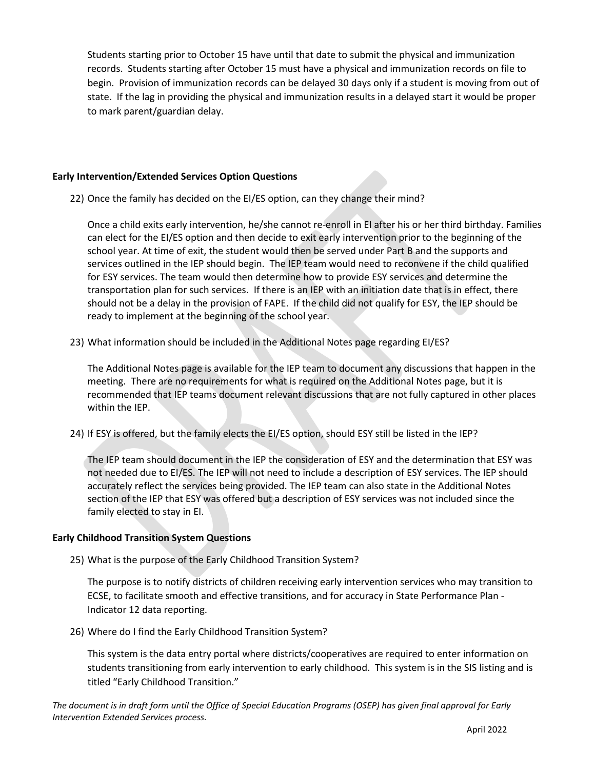Students starting prior to October 15 have until that date to submit the physical and immunization records. Students starting after October 15 must have a physical and immunization records on file to begin. Provision of immunization records can be delayed 30 days only if a student is moving from out of state. If the lag in providing the physical and immunization results in a delayed start it would be proper to mark parent/guardian delay.

### **Early Intervention/Extended Services Option Questions**

22) Once the family has decided on the EI/ES option, can they change their mind?

Once a child exits early intervention, he/she cannot re-enroll in EI after his or her third birthday. Families can elect for the EI/ES option and then decide to exit early intervention prior to the beginning of the school year. At time of exit, the student would then be served under Part B and the supports and services outlined in the IEP should begin. The IEP team would need to reconvene if the child qualified for ESY services. The team would then determine how to provide ESY services and determine the transportation plan for such services. If there is an IEP with an initiation date that is in effect, there should not be a delay in the provision of FAPE. If the child did not qualify for ESY, the IEP should be ready to implement at the beginning of the school year.

23) What information should be included in the Additional Notes page regarding EI/ES?

The Additional Notes page is available for the IEP team to document any discussions that happen in the meeting. There are no requirements for what is required on the Additional Notes page, but it is recommended that IEP teams document relevant discussions that are not fully captured in other places within the IEP.

24) If ESY is offered, but the family elects the EI/ES option, should ESY still be listed in the IEP?

The IEP team should document in the IEP the consideration of ESY and the determination that ESY was not needed due to EI/ES. The IEP will not need to include a description of ESY services. The IEP should accurately reflect the services being provided. The IEP team can also state in the Additional Notes section of the IEP that ESY was offered but a description of ESY services was not included since the family elected to stay in EI.

### **Early Childhood Transition System Questions**

25) What is the purpose of the Early Childhood Transition System?

The purpose is to notify districts of children receiving early intervention services who may transition to ECSE, to facilitate smooth and effective transitions, and for accuracy in State Performance Plan - Indicator 12 data reporting.

26) Where do I find the Early Childhood Transition System?

This system is the data entry portal where districts/cooperatives are required to enter information on students transitioning from early intervention to early childhood. This system is in the SIS listing and is titled "Early Childhood Transition."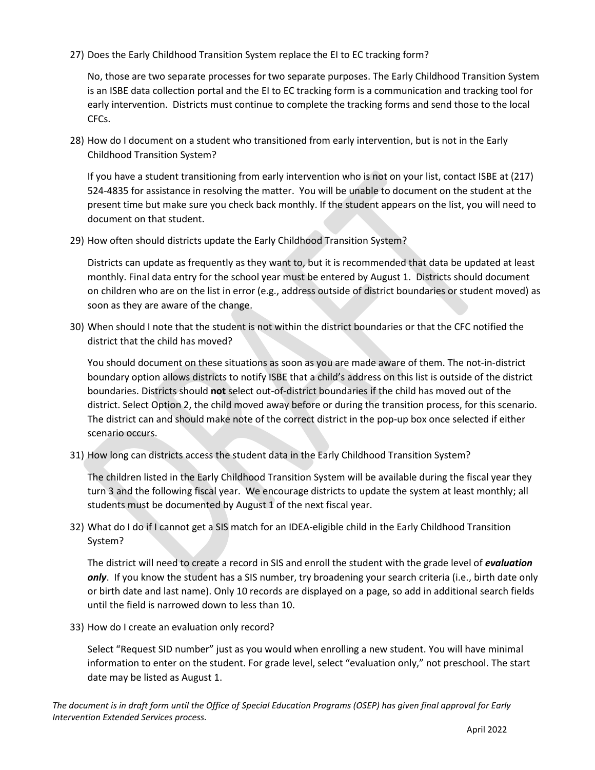27) Does the Early Childhood Transition System replace the EI to EC tracking form?

No, those are two separate processes for two separate purposes. The Early Childhood Transition System is an ISBE data collection portal and the EI to EC tracking form is a communication and tracking tool for early intervention. Districts must continue to complete the tracking forms and send those to the local CFCs.

28) How do I document on a student who transitioned from early intervention, but is not in the Early Childhood Transition System?

If you have a student transitioning from early intervention who is not on your list, contact ISBE at (217) 524-4835 for assistance in resolving the matter. You will be unable to document on the student at the present time but make sure you check back monthly. If the student appears on the list, you will need to document on that student.

29) How often should districts update the Early Childhood Transition System?

Districts can update as frequently as they want to, but it is recommended that data be updated at least monthly. Final data entry for the school year must be entered by August 1. Districts should document on children who are on the list in error (e.g., address outside of district boundaries or student moved) as soon as they are aware of the change.

30) When should I note that the student is not within the district boundaries or that the CFC notified the district that the child has moved?

You should document on these situations as soon as you are made aware of them. The not-in-district boundary option allows districts to notify ISBE that a child's address on this list is outside of the district boundaries. Districts should **not** select out-of-district boundaries if the child has moved out of the district. Select Option 2, the child moved away before or during the transition process, for this scenario. The district can and should make note of the correct district in the pop-up box once selected if either scenario occurs.

31) How long can districts access the student data in the Early Childhood Transition System?

The children listed in the Early Childhood Transition System will be available during the fiscal year they turn 3 and the following fiscal year. We encourage districts to update the system at least monthly; all students must be documented by August 1 of the next fiscal year.

32) What do I do if I cannot get a SIS match for an IDEA-eligible child in the Early Childhood Transition System?

The district will need to create a record in SIS and enroll the student with the grade level of *evaluation only*. If you know the student has a SIS number, try broadening your search criteria (i.e., birth date only or birth date and last name). Only 10 records are displayed on a page, so add in additional search fields until the field is narrowed down to less than 10.

33) How do I create an evaluation only record?

Select "Request SID number" just as you would when enrolling a new student. You will have minimal information to enter on the student. For grade level, select "evaluation only," not preschool. The start date may be listed as August 1.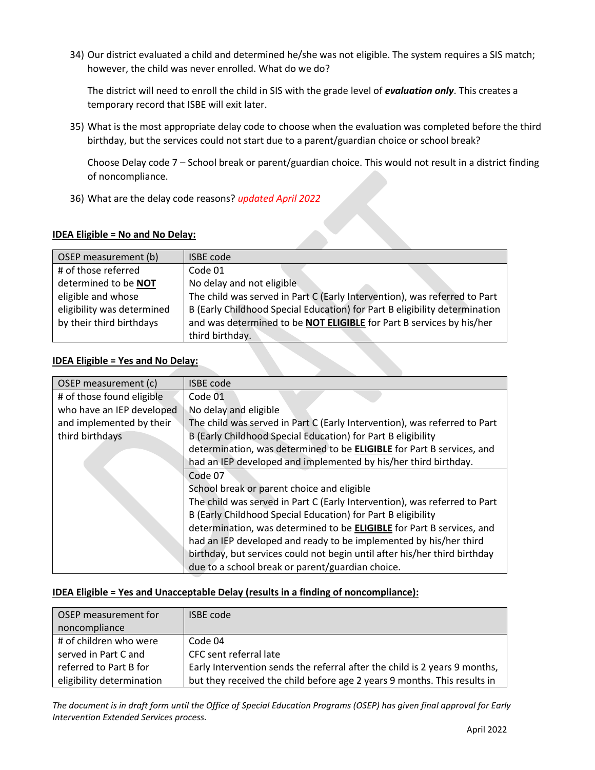34) Our district evaluated a child and determined he/she was not eligible. The system requires a SIS match; however, the child was never enrolled. What do we do?

The district will need to enroll the child in SIS with the grade level of *evaluation only*. This creates a temporary record that ISBE will exit later.

35) What is the most appropriate delay code to choose when the evaluation was completed before the third birthday, but the services could not start due to a parent/guardian choice or school break?

Choose Delay code 7 – School break or parent/guardian choice. This would not result in a district finding of noncompliance.

36) What are the delay code reasons? *updated April 2022*

### **IDEA Eligible = No and No Delay:**

| OSEP measurement (b)       | <b>ISBE code</b>                                                           |
|----------------------------|----------------------------------------------------------------------------|
| # of those referred        | Code 01                                                                    |
| determined to be NOT       | No delay and not eligible                                                  |
| eligible and whose         | The child was served in Part C (Early Intervention), was referred to Part  |
| eligibility was determined | B (Early Childhood Special Education) for Part B eligibility determination |
| by their third birthdays   | and was determined to be NOT ELIGIBLE for Part B services by his/her       |
|                            | third birthday.                                                            |

## **IDEA Eligible = Yes and No Delay:**

| OSEP measurement (c)      | <b>ISBE code</b>                                                             |
|---------------------------|------------------------------------------------------------------------------|
| # of those found eligible | Code 01                                                                      |
| who have an IEP developed | No delay and eligible                                                        |
| and implemented by their  | The child was served in Part C (Early Intervention), was referred to Part    |
| third birthdays           | B (Early Childhood Special Education) for Part B eligibility                 |
|                           | determination, was determined to be ELIGIBLE for Part B services, and        |
|                           | had an IEP developed and implemented by his/her third birthday.              |
|                           | Code 07                                                                      |
|                           | School break or parent choice and eligible                                   |
|                           | The child was served in Part C (Early Intervention), was referred to Part    |
|                           | B (Early Childhood Special Education) for Part B eligibility                 |
|                           | determination, was determined to be <b>ELIGIBLE</b> for Part B services, and |
|                           | had an IEP developed and ready to be implemented by his/her third            |
|                           | birthday, but services could not begin until after his/her third birthday    |
|                           | due to a school break or parent/guardian choice.                             |

### **IDEA Eligible = Yes and Unacceptable Delay (results in a finding of noncompliance):**

| OSEP measurement for<br>noncompliance | <b>ISBE code</b>                                                           |
|---------------------------------------|----------------------------------------------------------------------------|
| # of children who were                | Code 04                                                                    |
| served in Part C and                  | CFC sent referral late                                                     |
| referred to Part B for                | Early Intervention sends the referral after the child is 2 years 9 months, |
| eligibility determination             | but they received the child before age 2 years 9 months. This results in   |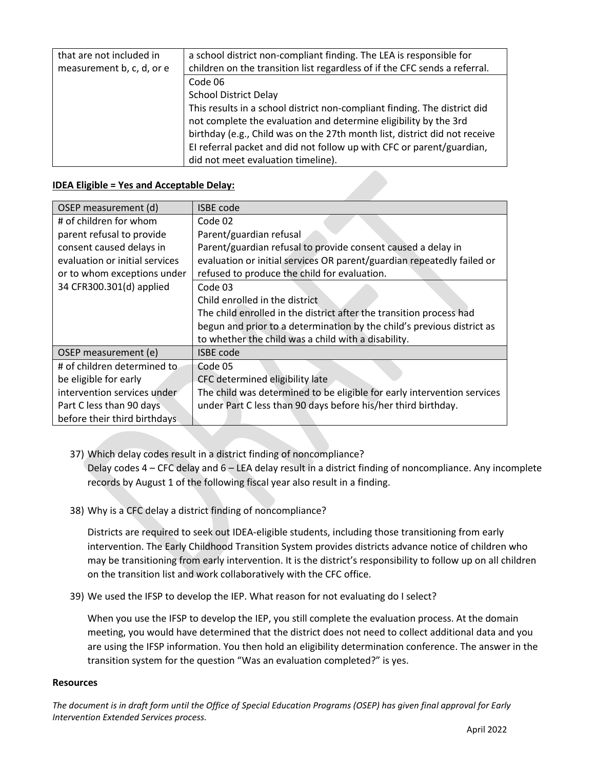| that are not included in<br>measurement b, c, d, or e | a school district non-compliant finding. The LEA is responsible for<br>children on the transition list regardless of if the CFC sends a referral. |
|-------------------------------------------------------|---------------------------------------------------------------------------------------------------------------------------------------------------|
|                                                       | Code 06                                                                                                                                           |
|                                                       | <b>School District Delay</b>                                                                                                                      |
|                                                       |                                                                                                                                                   |
|                                                       | This results in a school district non-compliant finding. The district did                                                                         |
|                                                       | not complete the evaluation and determine eligibility by the 3rd                                                                                  |
|                                                       | birthday (e.g., Child was on the 27th month list, district did not receive                                                                        |
|                                                       | El referral packet and did not follow up with CFC or parent/guardian,                                                                             |
|                                                       | did not meet evaluation timeline).                                                                                                                |

### **IDEA Eligible = Yes and Acceptable Delay:**

| OSEP measurement (d)           | <b>ISBE code</b>                                                        |
|--------------------------------|-------------------------------------------------------------------------|
| # of children for whom         | Code 02                                                                 |
| parent refusal to provide      | Parent/guardian refusal                                                 |
| consent caused delays in       | Parent/guardian refusal to provide consent caused a delay in            |
| evaluation or initial services | evaluation or initial services OR parent/guardian repeatedly failed or  |
| or to whom exceptions under    | refused to produce the child for evaluation.                            |
| 34 CFR300.301(d) applied       | Code 03                                                                 |
|                                | Child enrolled in the district                                          |
|                                | The child enrolled in the district after the transition process had     |
|                                | begun and prior to a determination by the child's previous district as  |
|                                | to whether the child was a child with a disability.                     |
| OSEP measurement (e)           | <b>ISBE</b> code                                                        |
| # of children determined to    | Code 05                                                                 |
| be eligible for early          | CFC determined eligibility late                                         |
| intervention services under    | The child was determined to be eligible for early intervention services |
| Part C less than 90 days       | under Part C less than 90 days before his/her third birthday.           |
| before their third birthdays   |                                                                         |

37) Which delay codes result in a district finding of noncompliance?

Delay codes 4 – CFC delay and 6 – LEA delay result in a district finding of noncompliance. Any incomplete records by August 1 of the following fiscal year also result in a finding.

38) Why is a CFC delay a district finding of noncompliance?

Districts are required to seek out IDEA-eligible students, including those transitioning from early intervention. The Early Childhood Transition System provides districts advance notice of children who may be transitioning from early intervention. It is the district's responsibility to follow up on all children on the transition list and work collaboratively with the CFC office.

39) We used the IFSP to develop the IEP. What reason for not evaluating do I select?

When you use the IFSP to develop the IEP, you still complete the evaluation process. At the domain meeting, you would have determined that the district does not need to collect additional data and you are using the IFSP information. You then hold an eligibility determination conference. The answer in the transition system for the question "Was an evaluation completed?" is yes.

#### **Resources**